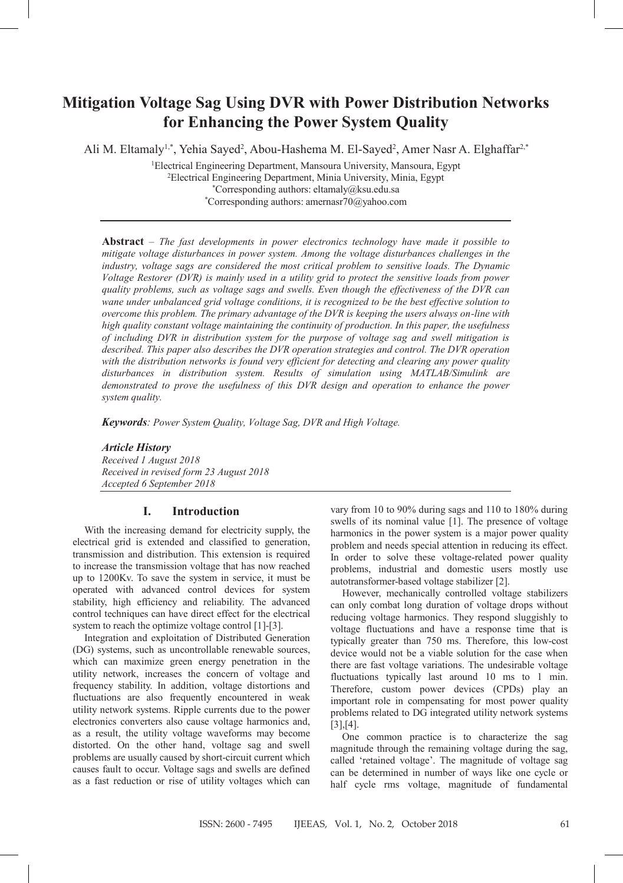# **Mitigation Voltage Sag Using DVR with Power Distribution Networks for Enhancing the Power System Quality**

Ali M. Eltamaly<sup>1,\*</sup>, Yehia Sayed<sup>2</sup>, Abou-Hashema M. El-Sayed<sup>2</sup>, Amer Nasr A. Elghaffar<sup>2,\*</sup>

1Electrical Engineering Department, Mansoura University, Mansoura, Egypt 2Electrical Engineering Department, Minia University, Minia, Egypt \*Corresponding authors: eltamaly@ksu.edu.sa \*Corresponding authors: amernasr70@yahoo.com

**Abstract** – *The fast developments in power electronics technology have made it possible to mitigate voltage disturbances in power system. Among the voltage disturbances challenges in the industry, voltage sags are considered the most critical problem to sensitive loads. The Dynamic Voltage Restorer (DVR) is mainly used in a utility grid to protect the sensitive loads from power quality problems, such as voltage sags and swells. Even though the effectiveness of the DVR can wane under unbalanced grid voltage conditions, it is recognized to be the best effective solution to overcome this problem. The primary advantage of the DVR is keeping the users always on-line with high quality constant voltage maintaining the continuity of production. In this paper, the usefulness of including DVR in distribution system for the purpose of voltage sag and swell mitigation is described. This paper also describes the DVR operation strategies and control. The DVR operation with the distribution networks is found very efficient for detecting and clearing any power quality disturbances in distribution system. Results of simulation using MATLAB/Simulink are*  demonstrated to prove the usefulness of this DVR design and operation to enhance the power *system quality.*

*Keywords: Power System Quality, Voltage Sag, DVR and High Voltage.*

*Article History Received 1 August 2018 Received in revised form 23 August 2018 Accepted 6 September 2018*

# **I. Introduction**

With the increasing demand for electricity supply, the electrical grid is extended and classified to generation, transmission and distribution. This extension is required to increase the transmission voltage that has now reached up to 1200Kv. To save the system in service, it must be operated with advanced control devices for system stability, high efficiency and reliability. The advanced control techniques can have direct effect for the electrical system to reach the optimize voltage control [1]-[3].

Integration and exploitation of Distributed Generation (DG) systems, such as uncontrollable renewable sources, which can maximize green energy penetration in the utility network, increases the concern of voltage and frequency stability. In addition, voltage distortions and fluctuations are also frequently encountered in weak utility network systems. Ripple currents due to the power electronics converters also cause voltage harmonics and, as a result, the utility voltage waveforms may become distorted. On the other hand, voltage sag and swell problems are usually caused by short-circuit current which causes fault to occur. Voltage sags and swells are defined as a fast reduction or rise of utility voltages which can

vary from 10 to 90% during sags and 110 to 180% during swells of its nominal value [1]. The presence of voltage harmonics in the power system is a major power quality problem and needs special attention in reducing its effect. In order to solve these voltage-related power quality problems, industrial and domestic users mostly use autotransformer-based voltage stabilizer [2].

However, mechanically controlled voltage stabilizers can only combat long duration of voltage drops without reducing voltage harmonics. They respond sluggishly to voltage fluctuations and have a response time that is typically greater than 750 ms. Therefore, this low-cost device would not be a viable solution for the case when there are fast voltage variations. The undesirable voltage fluctuations typically last around 10 ms to 1 min. Therefore, custom power devices (CPDs) play an important role in compensating for most power quality problems related to DG integrated utility network systems [3],[4].

One common practice is to characterize the sag magnitude through the remaining voltage during the sag, called 'retained voltage'. The magnitude of voltage sag can be determined in number of ways like one cycle or half cycle rms voltage, magnitude of fundamental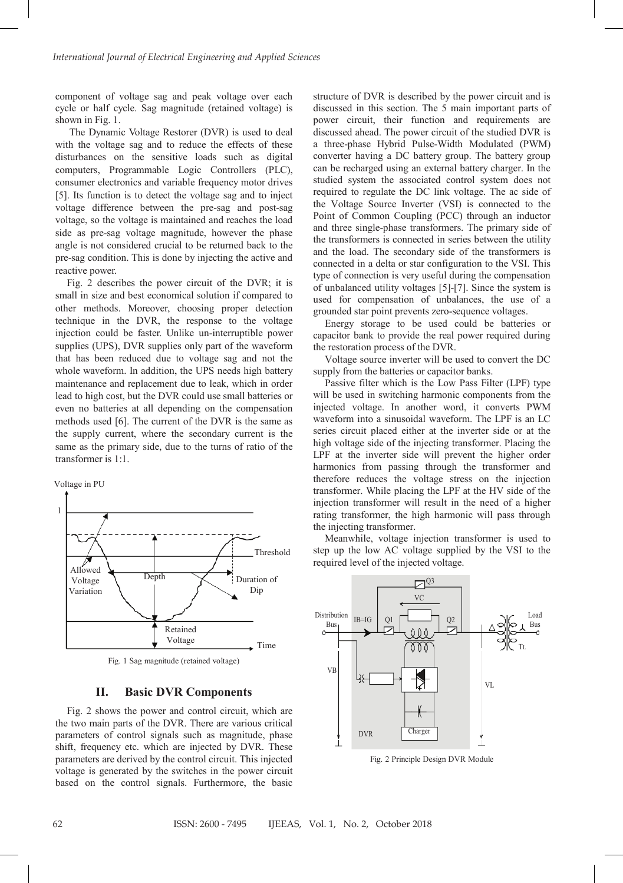component of voltage sag and peak voltage over each cycle or half cycle. Sag magnitude (retained voltage) is shown in Fig. 1.

The Dynamic Voltage Restorer (DVR) is used to deal with the voltage sag and to reduce the effects of these disturbances on the sensitive loads such as digital computers, Programmable Logic Controllers (PLC), consumer electronics and variable frequency motor drives [5]. Its function is to detect the voltage sag and to inject voltage difference between the pre-sag and post-sag voltage, so the voltage is maintained and reaches the load side as pre-sag voltage magnitude, however the phase angle is not considered crucial to be returned back to the pre-sag condition. This is done by injecting the active and reactive power.

Fig. 2 describes the power circuit of the DVR; it is small in size and best economical solution if compared to other methods. Moreover, choosing proper detection technique in the DVR, the response to the voltage injection could be faster. Unlike un-interruptible power supplies (UPS), DVR supplies only part of the waveform that has been reduced due to voltage sag and not the whole waveform. In addition, the UPS needs high battery maintenance and replacement due to leak, which in order lead to high cost, but the DVR could use small batteries or even no batteries at all depending on the compensation methods used [6]. The current of the DVR is the same as the supply current, where the secondary current is the same as the primary side, due to the turns of ratio of the transformer is 1:1. press as considered one in the local The sector of the sector of the consideration of the sector of the DVR. This sector of the DVR. The sector of the DVR. The sector of the DVR. The sector of the DVR. The sector of the D





Fig. 1 Sag magnitude (retained voltage)

# **II. Basic DVR Components**

Fig. 2 shows the power and control circuit, which are the two main parts of the DVR. There are various critical parameters of control signals such as magnitude, phase shift, frequency etc. which are injected by DVR. These parameters are derived by the control circuit. This injected voltage is generated by the switches in the power circuit based on the control signals. Furthermore, the basic

structure of DVR is described by the power circuit and is discussed in this section. The 5 main important parts of power circuit, their function and requirements are discussed ahead. The power circuit of the studied DVR is a three-phase Hybrid Pulse-Width Modulated (PWM) converter having a DC battery group. The battery group can be recharged using an external battery charger. In the studied system the associated control system does not required to regulate the DC link voltage. The ac side of the Voltage Source Inverter (VSI) is connected to the Point of Common Coupling (PCC) through an inductor and three single-phase transformers. The primary side of the transformers is connected in series between the utility and the load. The secondary side of the transformers is connected in a delta or star configuration to the VSI. This type of connection is very useful during the compensation of unbalanced utility voltages [5]-[7]. Since the system is used for compensation of unbalances, the use of a grounded star point prevents zero-sequence voltages.

Energy storage to be used could be batteries or capacitor bank to provide the real power required during the restoration process of the DVR.

Voltage source inverter will be used to convert the DC supply from the batteries or capacitor banks.

Passive filter which is the Low Pass Filter (LPF) type will be used in switching harmonic components from the injected voltage. In another word, it converts PWM waveform into a sinusoidal waveform. The LPF is an LC series circuit placed either at the inverter side or at the high voltage side of the injecting transformer. Placing the LPF at the inverter side will prevent the higher order harmonics from passing through the transformer and therefore reduces the voltage stress on the injection transformer. While placing the LPF at the HV side of the injection transformer will result in the need of a higher rating transformer, the high harmonic will pass through the injecting transformer. type of connection is very useful during the compensation<br>of unbalanced utility voltages [5]-[7]. Since the system is<br>used for compensation of unbalances, the use of a<br>grounded star point prevents zero-sequence voltages.<br>E

Meanwhile, voltage injection transformer is used to step up the low AC voltage supplied by the VSI to the required level of the injected voltage. injection transformer will result in the need of a higher rating transformer, the high harmonic will pass through the injecting transformer.<br>Meanwhile, voltage injection transformer is used to step up the low AC voltage su



Fig. 2 Principle Design DVR Module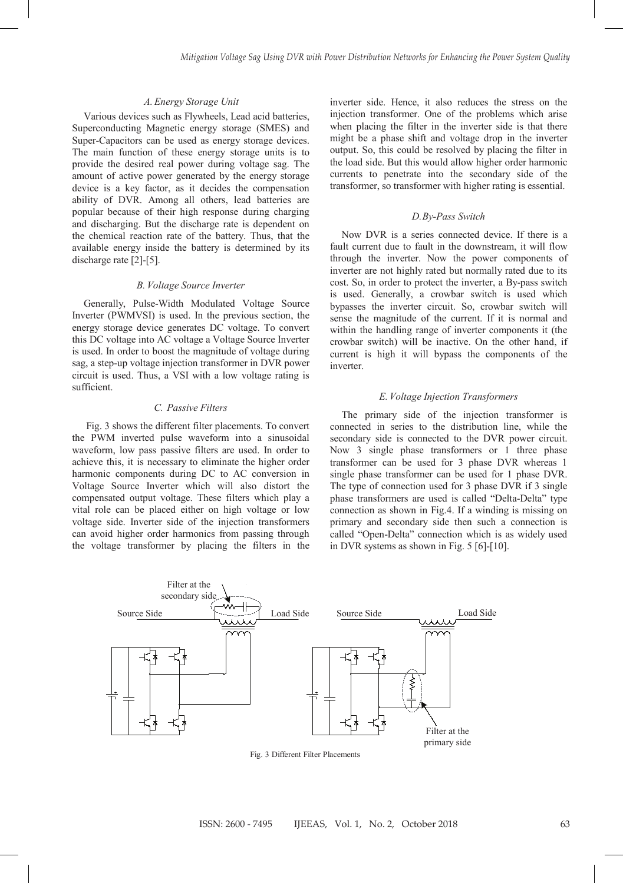#### Various devices such as Flywheels, Lead acid batteries, *A. Energy Storage Unit*

Fig. 2 shows the power and control circuit, which are

Various devices such as Flywheels, Lead acid batteries, Various devices such as Flywheels, Lead acid batteries,<br>Superconducting Magnetic energy storage (SMES) and<br>Super-Capacitors can be used as energy storage devices.<br>The main function of these energy storage units is to<br>provi Super-Capacitors can be used as energy storage devices. The main function of these energy storage units is to provide the desired real power during voltage sag. The amount of active power generated by the energy storage device is a key factor, as it decides the compensation ability of DVR. Among all others, lead batteries are popular because of their high response during charging and discharging. But the discharge rate is dependent on the chemical reaction rate of the battery. Thus, that the ability of DVR. Among all others, lead batteries are popular because of their high response during charging and discharging. But the discharge rate is dependent on the chemical reaction rate of the battery. Thus, that the discharge rate [2]-[5]. discharge rate [2]-[5]. discharge rate [2]-[5]. Various devices such as Flywheito, Lead axid batteries, inejection transformer. One of the problems which axis Superconducting Magnetic energy stongs (SMES) and when placing the filter in the inverter side is that the<br>Sup

# *B. Voltage Source Inverter B. Voltage Source Inverter B. Voltage Source Inverter B. Voltage Source Inverter*

Inverter (PWMVSI) is used. In the previous section, the Inverter (PWMVSI) is used. In the previous section, the energy storage device generates DC voltage. To convert energy storage device generates DC voltage. To convert this DC voltage into AC voltage a voltage Source Inverter is used. In order to boost the magnitude of voltage during sag, a step-up voltage injection transformer in DVR power circuit is used. Thus, a VSI with a low voltage rating is sufficient. sufficient. sufficient. this DC voltage into AC voltage a Voltage Source Inverter is used. In order to boost the magnitude of voltage during is used. In order to boost the magnitude of voltage during is used. sag, a step-up voltage injection transformer in DVR power Generally, Pulse-Width Modulated Voltage Source Generally, Pulse-Width Modulated Voltage Source energy storage device generates DC voltage. To convert Inverter (PWMVSI) is used. In the previous section, the<br>energy storage device generates DC voltage. To convert<br>this DC voltage into AC voltage a Voltage Source Inverter<br>is used. In order to boost the magnitude of voltage d this DC voltage into AC voltage a Voltage Source Inverter

#### *C. Passive Filters*

Fig. 3 shows the different filter placements. To convert the PWM inverted pulse waveform into a sinusoidal waveform, low pass passive filters are used. In order to achieve this, it is necessary to eliminate the higher order harmonic components during DC to AC conversion in Voltage Source Inverter which will also distort the waveform, low pass passive filters are used. In order to<br>achieve this, it is necessary to eliminate the higher order<br>harmonic components during DC to AC conversion in<br>Voltage Source Inverter which will also distort the<br>com vital role can be placed either on high voltage or low voltage side. Inverter side of the injection transformers can avoid higher order harmonics from passing through the voltage transformer by placing the filters in the in DVR systems as shown<br>the voltage transformer by placing the filters in the in DVR systems as shown

injection transformer. One of the problems which arise when placing the filter in the inverter side is that there might be a phase shift and voltage drop in the inverter output. So, this could be resolved by placing the filter in the load side. But this would allow higher order harmonic currents to penetrate into the secondary side of the transformer, so transformer with higher rating is essential. injection transformer. One of the problems which arise<br>when placing the filter in the inverter side is that there<br>might be a phase shift and voltage drop in the inverter inverter side. Hence, it also reduces the stress on the when placing the filter in the inverter side is that there when placing the filter in the inverter side is that there<br>might be a phase shift and voltage drop in the inverter<br>output. So, this could be resolved by placing the filter in<br>the load side. But this would allow higher orde output. So, this could be resolved by placing the filter in

#### *D.By-Pass Switch*

*Now DVR* is a series connected device. If there is a fault current due to fault in the downstream, it will flow through the inverter. Now the power components of inverter are not highly rated but normally rated due to its cost. So, in order to protect the inverter, a By-pass switch is used. Generally, a crowbar switch is used which bypasses the inverter circuit. So, crowbar switch will inverter are not highly rated but normally rated due to its<br>cost. So, in order to protect the inverter, a By-pass switch<br>is used. Generally, a crowbar switch is used which<br>bypasses the inverter circuit. So, crowbar switch within the handling range of inverter components it (the crowbar switch) will be inactive. On the other hand, if current is high it will bypass the components of the  $\mu$  inverter.  $\mu$  inverter. inverter. Now DVR is a series connected device. If there is a fault current due to fault in the downstream, it will flow through the inverter. Now the power components of bypasses the inverter circuit. So, crowbar switch will sense the magnitude of the current. If it is normal and within the handling range of inverter components it (the crowbar switch) will be inactive. On the other hand, i It current due to fault in the downstream, it will flow sense the magnitude of the current. If it is normal and

#### *E. Voltage Injection Transformers E.Voltage Injection Transformers*

The primary side of the injection transformer is connected in series to the distribution line, while the secondary side is connected to the DVR power circuit. Now 3 single phase transformers or 1 three phase transformer can be used for 3 phase DVR whereas 1 single phase transformer can be used for 1 phase DVR. The type of connection used for  $\beta$  phase DVR if  $\beta$  single phase transformers are used is called "Delta-Delta" type connection as shown in Fig.4. If a winding is missing on primary and secondary side then such a connection is called "Open-Delta" connection which is as widely used in DVR systems as shown in Fig. 5 [6]-[10]. transformer can be used for 3 phase DVR whereas 1 single phase transformer can be used for 1 phase DVR. The type of connection used for 3 phase DVR if 3 single phase transformers are used is called "Delta-Delta" type The type of connection used for 3 phase DVR if 3 single The primary side of the injection transformer is connected in series to the distribution line, while the secondary side is connected to the DVR power circuit. The type of connection used for 3 phase DVR if 3 single phase transformers are used is called "Delta-Delta" type connection as shown in Fig.4. If a winding is missing on primary and secondary side then such a connection is nnected in series to the distribution line, while the connection as shown in Fig.4. If a winding is missing on in DVR systems as shown in Fig. 5 [6]-[10].



Fig. 3 Different Filter Placements Fig. 3 Different Filter Placements Fig. 3 Different Filter Placements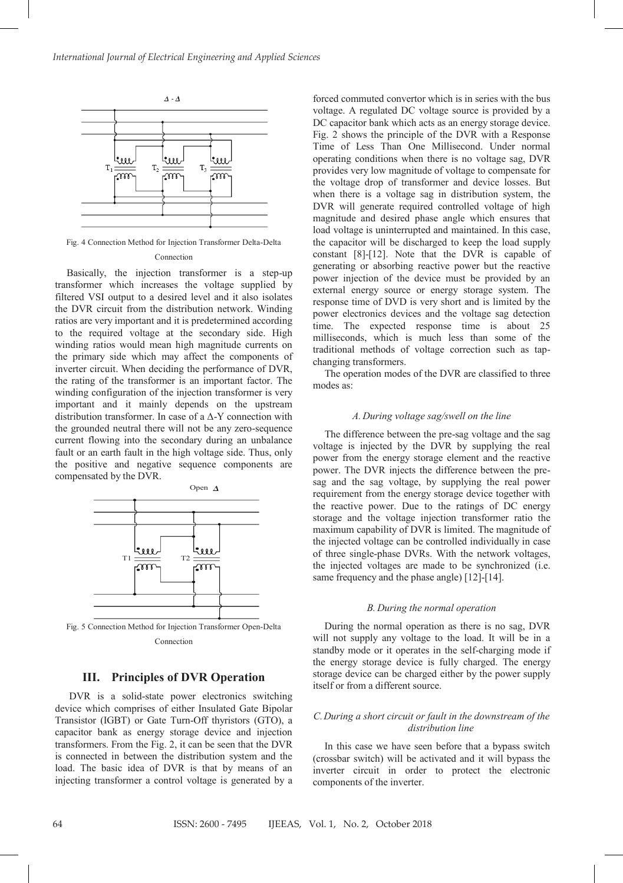

Fig. 4 Connection Method for Injection Transformer Delta-Delta Connection

Basically, the injection transformer is a step-up transformer which increases the voltage supplied by filtered VSI output to a desired level and it also isolates the DVR circuit from the distribution network. Winding ratios are very important and it is predetermined according to the required voltage at the secondary side. High winding ratios would mean high magnitude currents on the primary side which may affect the components of inverter circuit. When deciding the performance of DVR, the rating of the transformer is an important factor. The winding configuration of the injection transformer is very important and it mainly depends on the upstream distribution transformer. In case of a Δ-Y connection with the grounded neutral there will not be any zero-sequence current flowing into the secondary during an unbalance fault or an earth fault in the high voltage side. Thus, only the positive and negative sequence components are compensated by the DVR.



Connection

## **III. Principles of DVR Operation**

DVR is a solid-state power electronics switching device which comprises of either Insulated Gate Bipolar Transistor (IGBT) or Gate Turn-Off thyristors (GTO), a capacitor bank as energy storage device and injection transformers. From the Fig. 2, it can be seen that the DVR is connected in between the distribution system and the load. The basic idea of DVR is that by means of an injecting transformer a control voltage is generated by a

forced commuted convertor which is in series with the bus voltage. A regulated DC voltage source is provided by a DC capacitor bank which acts as an energy storage device. Fig. 2 shows the principle of the DVR with a Response Time of Less Than One Millisecond. Under normal operating conditions when there is no voltage sag, DVR provides very low magnitude of voltage to compensate for the voltage drop of transformer and device losses. But when there is a voltage sag in distribution system, the DVR will generate required controlled voltage of high magnitude and desired phase angle which ensures that load voltage is uninterrupted and maintained. In this case, the capacitor will be discharged to keep the load supply constant [8]-[12]. Note that the DVR is capable of generating or absorbing reactive power but the reactive power injection of the device must be provided by an external energy source or energy storage system. The response time of DVD is very short and is limited by the power electronics devices and the voltage sag detection time. The expected response time is about 25 milliseconds, which is much less than some of the traditional methods of voltage correction such as tapchanging transformers.

The operation modes of the DVR are classified to three modes as:

## *A. During voltage sag/swell on the line*

The difference between the pre-sag voltage and the sag voltage is injected by the DVR by supplying the real power from the energy storage element and the reactive power. The DVR injects the difference between the presag and the sag voltage, by supplying the real power requirement from the energy storage device together with the reactive power. Due to the ratings of DC energy storage and the voltage injection transformer ratio the maximum capability of DVR is limited. The magnitude of the injected voltage can be controlled individually in case of three single-phase DVRs. With the network voltages, the injected voltages are made to be synchronized (i.e. same frequency and the phase angle) [12]-[14].

#### *B. During the normal operation*

During the normal operation as there is no sag, DVR will not supply any voltage to the load. It will be in a standby mode or it operates in the self-charging mode if the energy storage device is fully charged. The energy storage device can be charged either by the power supply itself or from a different source.

## *C.During a short circuit or fault in the downstream of the distribution line*

In this case we have seen before that a bypass switch (crossbar switch) will be activated and it will bypass the inverter circuit in order to protect the electronic components of the inverter.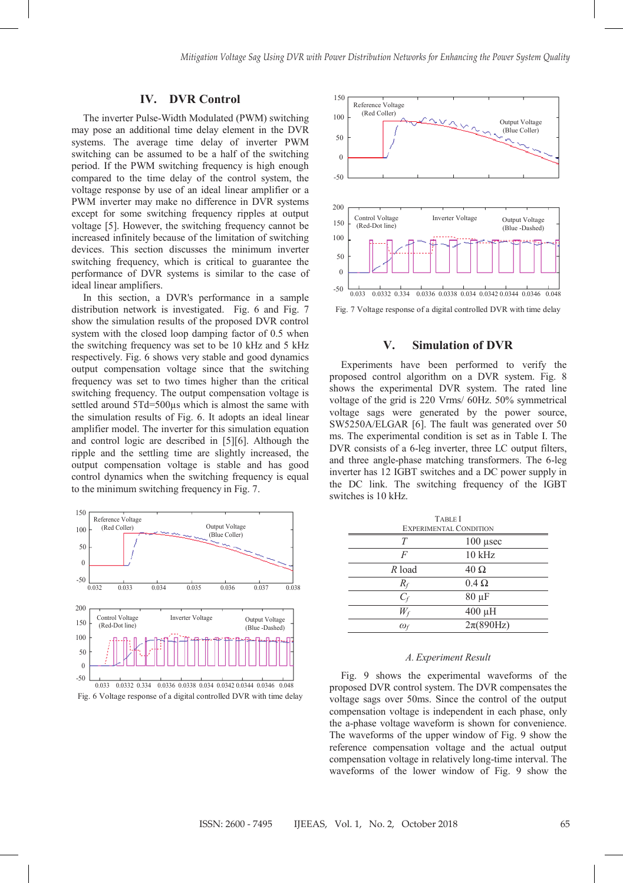# **IV. DVR Control**

The inverter Pulse-Width Modulated (PWM) switching may pose an additional time delay element in the DVR systems. The average time delay of inverter PWM switching can be assumed to be a half of the switching period. If the PWM switching frequency is high enough compared to the time delay of the control system, the voltage response by use of an ideal linear amplifier or a PWM inverter may make no difference in DVR systems except for some switching frequency ripples at output voltage [5]. However, the switching frequency cannot be increased infinitely because of the limitation of switching devices. This section discusses the minimum inverter switching frequency, which is critical to guarantee the performance of DVR systems is similar to the case of ideal linear amplifiers.

In this section, a DVR's performance in a sample distribution network is investigated. Fig. 6 and Fig. 7 show the simulation results of the proposed DVR control system with the closed loop damping factor of 0.5 when the switching frequency was set to be 10 kHz and 5 kHz respectively. Fig. 6 shows very stable and good dynamics output compensation voltage since that the switching frequency was set to two times higher than the critical switching frequency. The output compensation voltage is settled around 5Td=500 $\mu$ s which is almost the same with the simulation results of Fig. 6. It adopts an ideal linear amplifier model. The inverter for this simulation equation and control logic are described in [5][6]. Although the ripple and the settling time are slightly increased, the output compensation voltage is stable and has good control dynamics when the switching frequency is equal to the minimum switching frequency in Fig. 7.







Fig. 7 Voltage response of a digital controlled DVR with time delay

## **V. Simulation of DVR**

Experiments have been performed to verify the proposed control algorithm on a DVR system. Fig. 8 shows the experimental DVR system. The rated line voltage of the grid is 220 Vrms/ 60Hz. 50% symmetrical voltage sags were generated by the power source, SW5250A/ELGAR [6]. The fault was generated over 50 ms. The experimental condition is set as in Table I. The DVR consists of a 6-leg inverter, three LC output filters, and three angle-phase matching transformers. The 6-leg inverter has 12 IGBT switches and a DC power supply in the DC link. The switching frequency of the IGBT switches is 10 kHz.

| <b>TABLE</b> I                |                      |
|-------------------------------|----------------------|
| <b>EXPERIMENTAL CONDITION</b> |                      |
| T                             | $100$ usec           |
| F                             | $10$ kHz             |
| $R$ load                      | $40 \Omega$          |
| $R_f$                         | $0.4 \Omega$         |
| $C_f$                         | $80 \mu F$           |
| $W_f$                         | 400 µH               |
| $\omega_f$                    | $2\pi(890\text{Hz})$ |

#### *A. Experiment Result*

Fig. 9 shows the experimental waveforms of the proposed DVR control system. The DVR compensates the voltage sags over 50ms. Since the control of the output compensation voltage is independent in each phase, only the a-phase voltage waveform is shown for convenience. The waveforms of the upper window of Fig. 9 show the reference compensation voltage and the actual output compensation voltage in relatively long-time interval. The waveforms of the lower window of Fig. 9 show the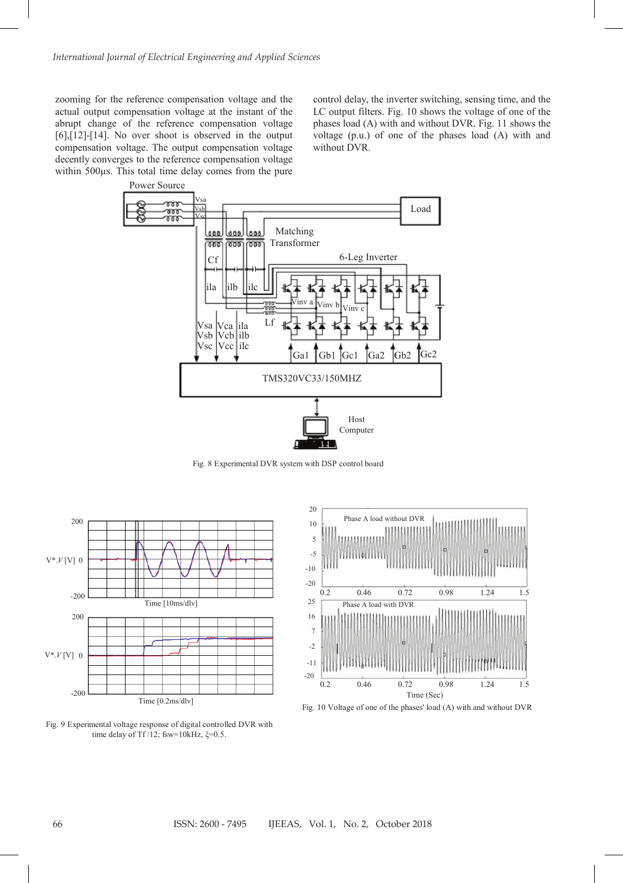zooming for the reference compensation voltage and the actual output compensation voltage at the instant of the abrupt change of the reference compensation voltage [6],[12]-[14]. No over shoot is observed in the output compensation voltage. The output compensation voltage decently converges to the reference compensation voltage within 500µs. This total time delay comes from the pure

control delay, the inverter switching, sensing time, and the LC output filters. Fig. 10 shows the voltage of one of the phases load (A) with and without DVR. Fig. 11 shows the voltage (p.u.) of one of the phases load (A) with and without DVR.



Fig. 8 Experimental DVR system with DSP control board







Fig. 10 Voltage of one of the phases' load (A) with and without DVR